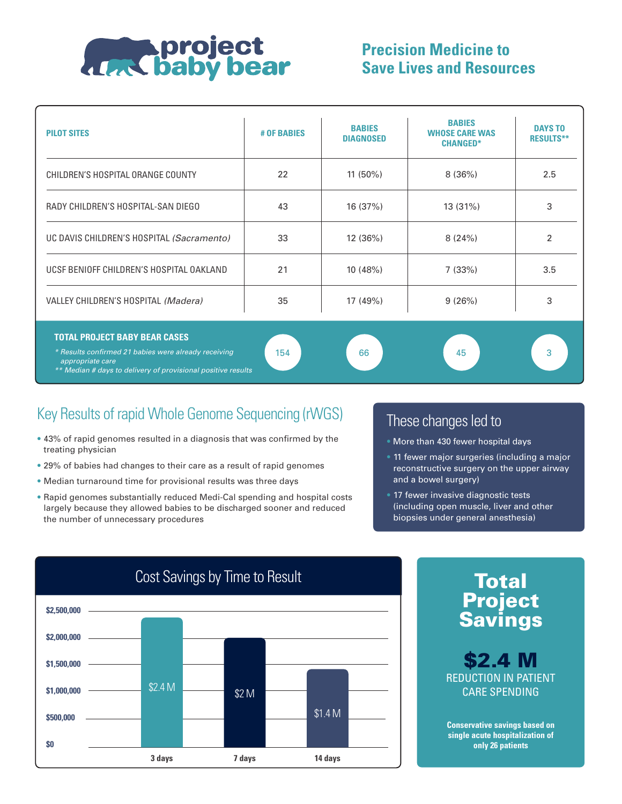

## **Precision Medicine to Save Lives and Resources**

| <b>PILOT SITES</b>                                                                                                                                                               | # OF BABIES | <b>BABIES</b><br><b>DIAGNOSED</b> | <b>BABIES</b><br><b>WHOSE CARE WAS</b><br><b>CHANGED*</b> | <b>DAYS TO</b><br><b>RESULTS**</b> |
|----------------------------------------------------------------------------------------------------------------------------------------------------------------------------------|-------------|-----------------------------------|-----------------------------------------------------------|------------------------------------|
| CHILDREN'S HOSPITAL ORANGE COUNTY                                                                                                                                                | 22          | $11(50\%)$                        | 8(36%)                                                    | 2.5                                |
| RADY CHILDREN'S HOSPITAL-SAN DIEGO                                                                                                                                               | 43          | 16 (37%)                          | 13 (31%)                                                  | 3                                  |
| UC DAVIS CHILDREN'S HOSPITAL (Sacramento)                                                                                                                                        | 33          | 12 (36%)                          | 8(24%)                                                    | 2                                  |
| UCSF BENIOFF CHILDREN'S HOSPITAL OAKLAND                                                                                                                                         | 21          | 10(48%)                           | 7(33%)                                                    | 3.5                                |
| VALLEY CHILDREN'S HOSPITAL (Madera)                                                                                                                                              | 35          | 17 (49%)                          | 9(26%)                                                    | 3                                  |
| <b>TOTAL PROJECT BABY BEAR CASES</b><br>* Results confirmed 21 babies were already receiving<br>appropriate care<br>** Median # days to delivery of provisional positive results | 154         | 66                                | 45                                                        | 3                                  |

## Key Results of rapid Whole Genome Sequencing (rWGS) These changes led to

- 43% of rapid genomes resulted in a diagnosis that was confirmed by the treating physician
- 29% of babies had changes to their care as a result of rapid genomes
- Median turnaround time for provisional results was three days
- Rapid genomes substantially reduced Medi-Cal spending and hospital costs largely because they allowed babies to be discharged sooner and reduced the number of unnecessary procedures

- More than 430 fewer hospital days
- 11 fewer major surgeries (including a major reconstructive surgery on the upper airway and a bowel surgery)
- 17 fewer invasive diagnostic tests (including open muscle, liver and other biopsies under general anesthesia)





\$2.4 M REDUCTION IN PATIENT

**Conservative savings based on single acute hospitalization of only 26 patients**